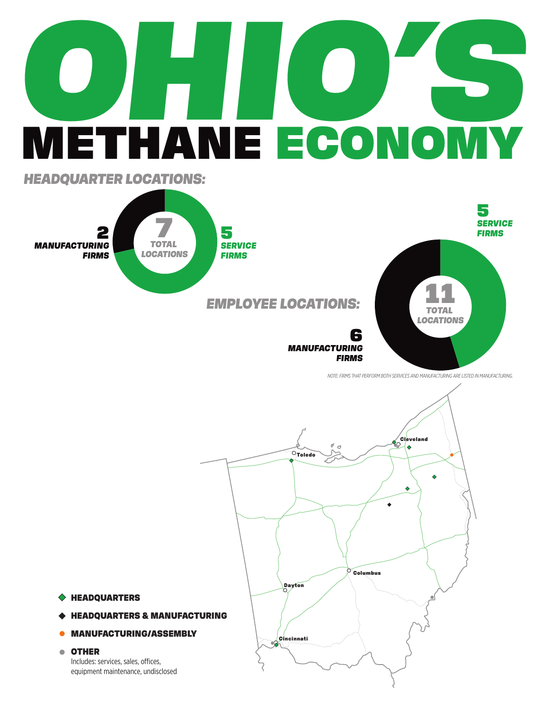# **OHIO'S** METHANE ECONOMY



*NOTE: FIRMS THAT PERFORM BOTH SERVICES AND MANUFACTURING ARE LISTED IN MANUFACTURING.*



HEADQUARTERS

- HEADQUARTERS & MANUFACTURING
- MANUFACTURING/ASSEMBLY

### OTHER

Includes: services, sales, offices, equipment maintenance, undisclosed